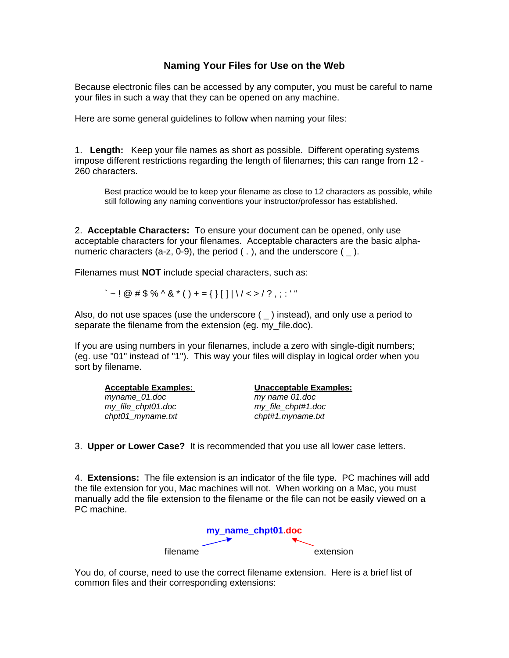## **Naming Your Files for Use on the Web**

Because electronic files can be accessed by any computer, you must be careful to name your files in such a way that they can be opened on any machine.

Here are some general guidelines to follow when naming your files:

1. **Length:** Keep your file names as short as possible. Different operating systems impose different restrictions regarding the length of filenames; this can range from 12 - 260 characters.

Best practice would be to keep your filename as close to 12 characters as possible, while still following any naming conventions your instructor/professor has established.

2. **Acceptable Characters:** To ensure your document can be opened, only use acceptable characters for your filenames. Acceptable characters are the basic alphanumeric characters (a-z, 0-9), the period (.), and the underscore  $($   $)$ .

Filenames must **NOT** include special characters, such as:

 $\leq$   $\sim$  ! @ # \$ % ^ & \* ( ) + = { } [ ] | \ / < > / ? . : : ' "

Also, do not use spaces (use the underscore  $($   $)$  instead), and only use a period to separate the filename from the extension (eg. my\_file.doc).

If you are using numbers in your filenames, include a zero with single-digit numbers; (eg. use "01" instead of "1"). This way your files will display in logical order when you sort by filename.

*myname\_01.doc my name 01.doc my\_file\_chpt01.doc my\_file\_chpt#1.doc chpt01\_myname.txt chpt#1.myname.txt* 

**Acceptable Examples: Unacceptable Examples:**

3. **Upper or Lower Case?** It is recommended that you use all lower case letters.

4. **Extensions:** The file extension is an indicator of the file type. PC machines will add the file extension for you, Mac machines will not. When working on a Mac, you must manually add the file extension to the filename or the file can not be easily viewed on a PC machine.



You do, of course, need to use the correct filename extension. Here is a brief list of common files and their corresponding extensions: